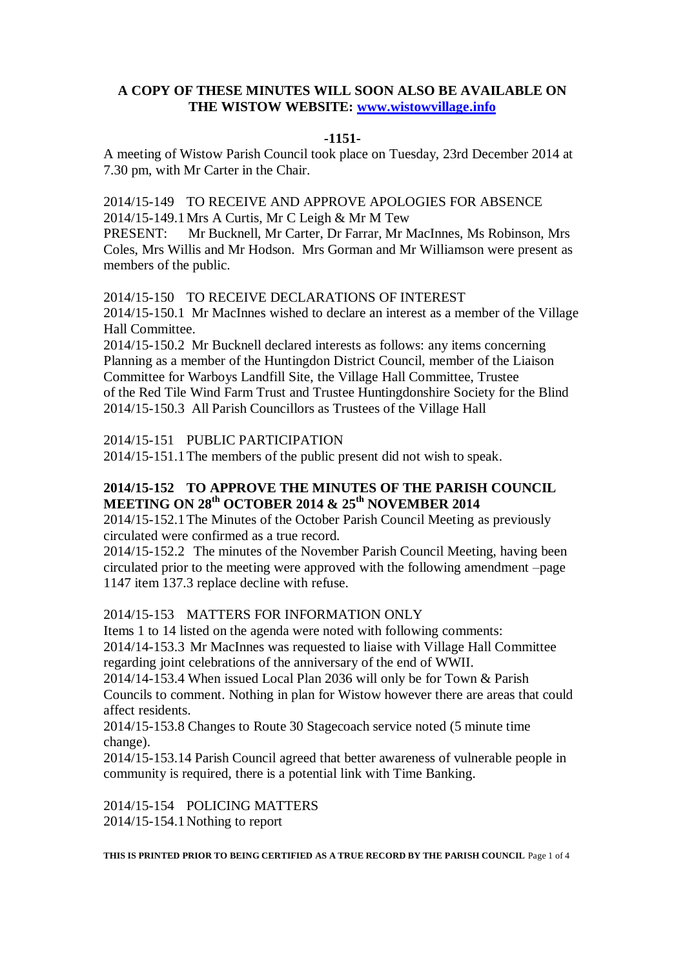## **A COPY OF THESE MINUTES WILL SOON ALSO BE AVAILABLE ON THE WISTOW WEBSITE: [www.wistowvillage.info](http://www.wistowvillage.info/)**

#### **-1151-**

A meeting of Wistow Parish Council took place on Tuesday, 23rd December 2014 at 7.30 pm, with Mr Carter in the Chair.

2014/15-149 TO RECEIVE AND APPROVE APOLOGIES FOR ABSENCE 2014/15-149.1Mrs A Curtis, Mr C Leigh & Mr M Tew

PRESENT: Mr Bucknell, Mr Carter, Dr Farrar, Mr MacInnes, Ms Robinson, Mrs Coles, Mrs Willis and Mr Hodson. Mrs Gorman and Mr Williamson were present as members of the public.

2014/15-150 TO RECEIVE DECLARATIONS OF INTEREST

2014/15-150.1 Mr MacInnes wished to declare an interest as a member of the Village Hall Committee.

2014/15-150.2 Mr Bucknell declared interests as follows: any items concerning Planning as a member of the Huntingdon District Council, member of the Liaison Committee for Warboys Landfill Site, the Village Hall Committee, Trustee of the Red Tile Wind Farm Trust and Trustee Huntingdonshire Society for the Blind 2014/15-150.3 All Parish Councillors as Trustees of the Village Hall

2014/15-151 PUBLIC PARTICIPATION

2014/15-151.1The members of the public present did not wish to speak.

# **2014/15-152 TO APPROVE THE MINUTES OF THE PARISH COUNCIL MEETING ON 28th OCTOBER 2014 & 25th NOVEMBER 2014**

2014/15-152.1The Minutes of the October Parish Council Meeting as previously circulated were confirmed as a true record.

2014/15-152.2 The minutes of the November Parish Council Meeting, having been circulated prior to the meeting were approved with the following amendment –page 1147 item 137.3 replace decline with refuse.

# 2014/15-153 MATTERS FOR INFORMATION ONLY

Items 1 to 14 listed on the agenda were noted with following comments: 2014/14-153.3 Mr MacInnes was requested to liaise with Village Hall Committee regarding joint celebrations of the anniversary of the end of WWII.

2014/14-153.4 When issued Local Plan 2036 will only be for Town & Parish Councils to comment. Nothing in plan for Wistow however there are areas that could affect residents.

2014/15-153.8 Changes to Route 30 Stagecoach service noted (5 minute time change).

2014/15-153.14 Parish Council agreed that better awareness of vulnerable people in community is required, there is a potential link with Time Banking.

2014/15-154 POLICING MATTERS 2014/15-154.1Nothing to report

**THIS IS PRINTED PRIOR TO BEING CERTIFIED AS A TRUE RECORD BY THE PARISH COUNCIL** Page 1 of 4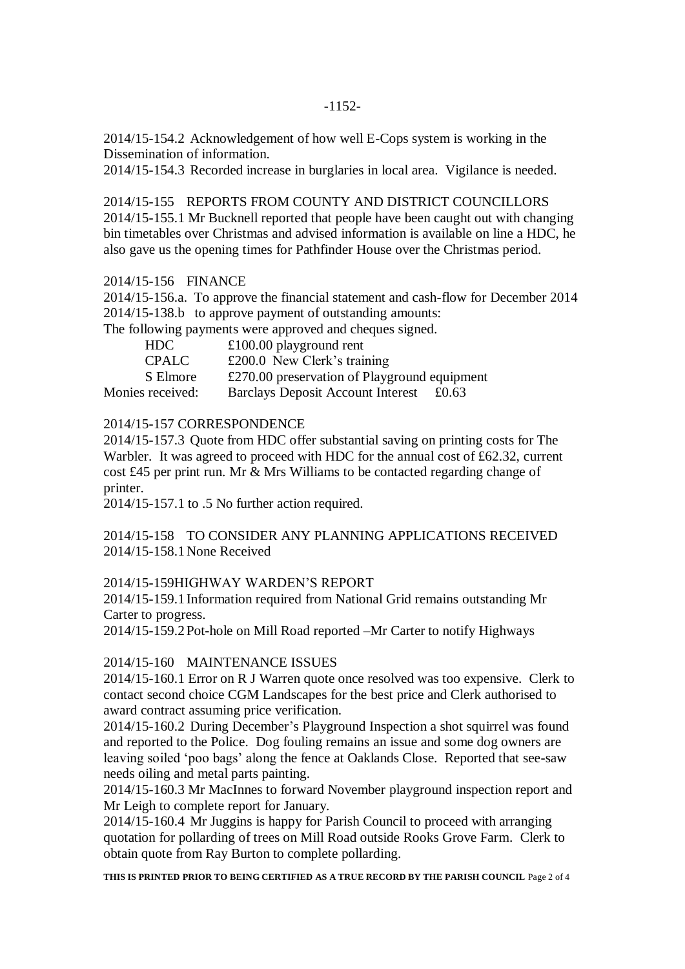2014/15-154.2 Acknowledgement of how well E-Cops system is working in the Dissemination of information.

2014/15-154.3 Recorded increase in burglaries in local area. Vigilance is needed.

2014/15-155 REPORTS FROM COUNTY AND DISTRICT COUNCILLORS 2014/15-155.1 Mr Bucknell reported that people have been caught out with changing bin timetables over Christmas and advised information is available on line a HDC, he also gave us the opening times for Pathfinder House over the Christmas period.

#### 2014/15-156 FINANCE

2014/15-156.a. To approve the financial statement and cash-flow for December 2014 2014/15-138.b to approve payment of outstanding amounts:

The following payments were approved and cheques signed.

| HDC.             | £100.00 playground rent                               |
|------------------|-------------------------------------------------------|
| <b>CPALC</b>     | £200.0 New Clerk's training                           |
| S Elmore         | $\pounds$ 270.00 preservation of Playground equipment |
| Monies received: | <b>Barclays Deposit Account Interest</b><br>£0.63     |

## 2014/15-157 CORRESPONDENCE

2014/15-157.3 Quote from HDC offer substantial saving on printing costs for The Warbler. It was agreed to proceed with HDC for the annual cost of £62.32, current cost £45 per print run. Mr & Mrs Williams to be contacted regarding change of printer.

2014/15-157.1 to .5 No further action required.

2014/15-158 TO CONSIDER ANY PLANNING APPLICATIONS RECEIVED 2014/15-158.1None Received

2014/15-159HIGHWAY WARDEN'S REPORT

2014/15-159.1Information required from National Grid remains outstanding Mr Carter to progress.

2014/15-159.2Pot-hole on Mill Road reported –Mr Carter to notify Highways

## 2014/15-160 MAINTENANCE ISSUES

2014/15-160.1 Error on R J Warren quote once resolved was too expensive. Clerk to contact second choice CGM Landscapes for the best price and Clerk authorised to award contract assuming price verification.

2014/15-160.2 During December's Playground Inspection a shot squirrel was found and reported to the Police. Dog fouling remains an issue and some dog owners are leaving soiled 'poo bags' along the fence at Oaklands Close. Reported that see-saw needs oiling and metal parts painting.

2014/15-160.3 Mr MacInnes to forward November playground inspection report and Mr Leigh to complete report for January.

2014/15-160.4 Mr Juggins is happy for Parish Council to proceed with arranging quotation for pollarding of trees on Mill Road outside Rooks Grove Farm. Clerk to obtain quote from Ray Burton to complete pollarding.

**THIS IS PRINTED PRIOR TO BEING CERTIFIED AS A TRUE RECORD BY THE PARISH COUNCIL** Page 2 of 4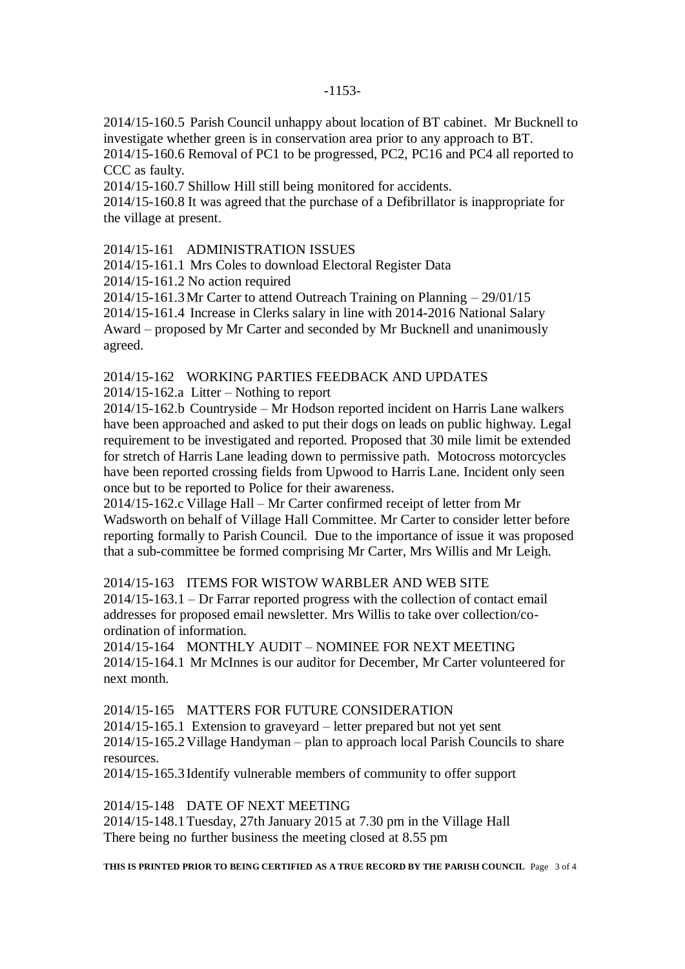2014/15-160.5 Parish Council unhappy about location of BT cabinet. Mr Bucknell to investigate whether green is in conservation area prior to any approach to BT. 2014/15-160.6 Removal of PC1 to be progressed, PC2, PC16 and PC4 all reported to

CCC as faulty. 2014/15-160.7 Shillow Hill still being monitored for accidents.

2014/15-160.8 It was agreed that the purchase of a Defibrillator is inappropriate for the village at present.

2014/15-161 ADMINISTRATION ISSUES

2014/15-161.1 Mrs Coles to download Electoral Register Data

2014/15-161.2 No action required

2014/15-161.3Mr Carter to attend Outreach Training on Planning – 29/01/15

2014/15-161.4 Increase in Clerks salary in line with 2014-2016 National Salary

Award – proposed by Mr Carter and seconded by Mr Bucknell and unanimously agreed.

2014/15-162 WORKING PARTIES FEEDBACK AND UPDATES

2014/15-162.a Litter – Nothing to report

2014/15-162.b Countryside – Mr Hodson reported incident on Harris Lane walkers have been approached and asked to put their dogs on leads on public highway. Legal requirement to be investigated and reported. Proposed that 30 mile limit be extended for stretch of Harris Lane leading down to permissive path. Motocross motorcycles have been reported crossing fields from Upwood to Harris Lane. Incident only seen once but to be reported to Police for their awareness.

2014/15-162.c Village Hall – Mr Carter confirmed receipt of letter from Mr Wadsworth on behalf of Village Hall Committee. Mr Carter to consider letter before reporting formally to Parish Council. Due to the importance of issue it was proposed that a sub-committee be formed comprising Mr Carter, Mrs Willis and Mr Leigh.

2014/15-163 ITEMS FOR WISTOW WARBLER AND WEB SITE

2014/15-163.1 – Dr Farrar reported progress with the collection of contact email addresses for proposed email newsletter. Mrs Willis to take over collection/coordination of information.

2014/15-164 MONTHLY AUDIT – NOMINEE FOR NEXT MEETING 2014/15-164.1 Mr McInnes is our auditor for December, Mr Carter volunteered for next month.

2014/15-165 MATTERS FOR FUTURE CONSIDERATION

2014/15-165.1 Extension to graveyard – letter prepared but not yet sent 2014/15-165.2Village Handyman – plan to approach local Parish Councils to share resources.

2014/15-165.3Identify vulnerable members of community to offer support

2014/15-148 DATE OF NEXT MEETING

2014/15-148.1Tuesday, 27th January 2015 at 7.30 pm in the Village Hall There being no further business the meeting closed at 8.55 pm

**THIS IS PRINTED PRIOR TO BEING CERTIFIED AS A TRUE RECORD BY THE PARISH COUNCIL** Page 3 of 4